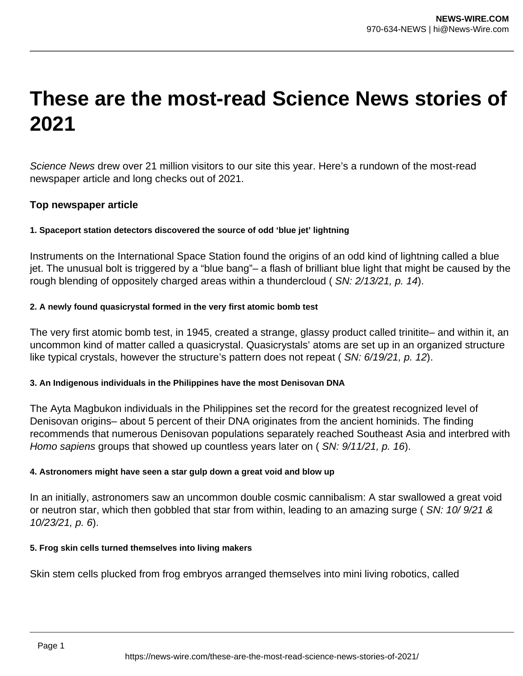# **These are the most-read Science News stories of 2021**

Science News drew over 21 million visitors to our site this year. Here's a rundown of the most-read newspaper article and long checks out of 2021.

# **Top newspaper article**

# **1. Spaceport station detectors discovered the source of odd 'blue jet' lightning**

Instruments on the International Space Station found the origins of an odd kind of lightning called a blue jet. The unusual bolt is triggered by a "blue bang"– a flash of brilliant blue light that might be caused by the rough blending of oppositely charged areas within a thundercloud (SN: 2/13/21, p. 14).

#### **2. A newly found quasicrystal formed in the very first atomic bomb test**

The very first atomic bomb test, in 1945, created a strange, glassy product called trinitite– and within it, an uncommon kind of matter called a quasicrystal. Quasicrystals' atoms are set up in an organized structure like typical crystals, however the structure's pattern does not repeat (SN: 6/19/21, p. 12).

# **3. An Indigenous individuals in the Philippines have the most Denisovan DNA**

The Ayta Magbukon individuals in the Philippines set the record for the greatest recognized level of Denisovan origins– about 5 percent of their DNA originates from the ancient hominids. The finding recommends that numerous Denisovan populations separately reached Southeast Asia and interbred with Homo sapiens groups that showed up countless years later on (SN: 9/11/21, p. 16).

#### **4. Astronomers might have seen a star gulp down a great void and blow up**

In an initially, astronomers saw an uncommon double cosmic cannibalism: A star swallowed a great void or neutron star, which then gobbled that star from within, leading to an amazing surge (SN: 10/9/21 & 10/23/21, p. 6).

# **5. Frog skin cells turned themselves into living makers**

Skin stem cells plucked from frog embryos arranged themselves into mini living robotics, called